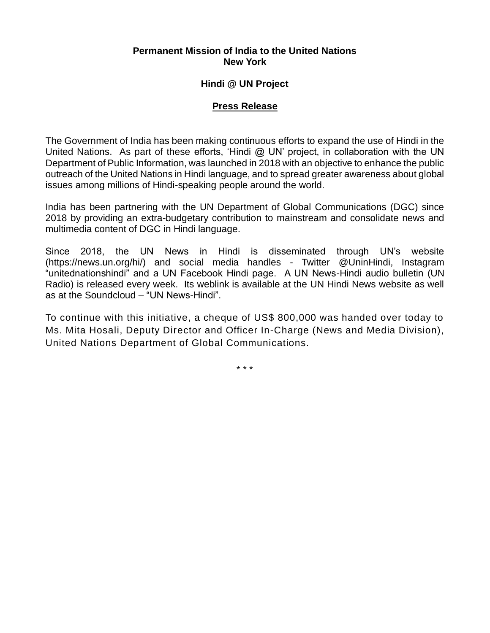### **Permanent Mission of India to the United Nations New York**

### **Hindi @ UN Project**

### **Press Release**

The Government of India has been making continuous efforts to expand the use of Hindi in the United Nations. As part of these efforts, 'Hindi  $@$  UN' project, in collaboration with the UN Department of Public Information, was launched in 2018 with an objective to enhance the public outreach of the United Nations in Hindi language, and to spread greater awareness about global issues among millions of Hindi-speaking people around the world.

India has been partnering with the UN Department of Global Communications (DGC) since 2018 by providing an extra-budgetary contribution to mainstream and consolidate news and multimedia content of DGC in Hindi language.

Since 2018, the UN News in Hindi is disseminated through UN's website (https://news.un.org/hi/) and social media handles - Twitter @UninHindi, Instagram "unitednationshindi" and a UN Facebook Hindi page. A UN News-Hindi audio bulletin (UN Radio) is released every week. Its weblink is available at the UN Hindi News website as well as at the Soundcloud – "UN News-Hindi".

To continue with this initiative, a cheque of US\$ 800,000 was handed over today to Ms. Mita Hosali, Deputy Director and Officer In-Charge (News and Media Division), United Nations Department of Global Communications.

\* \* \*